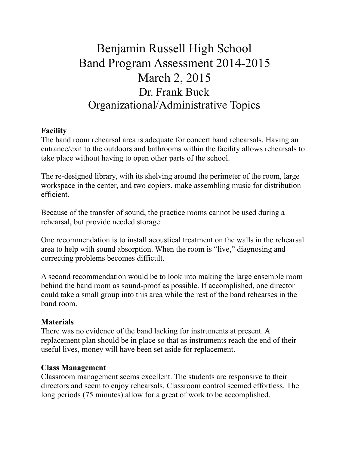# Benjamin Russell High School Band Program Assessment 2014-2015 March 2, 2015 Dr. Frank Buck Organizational/Administrative Topics

# **Facility**

The band room rehearsal area is adequate for concert band rehearsals. Having an entrance/exit to the outdoors and bathrooms within the facility allows rehearsals to take place without having to open other parts of the school.

The re-designed library, with its shelving around the perimeter of the room, large workspace in the center, and two copiers, make assembling music for distribution efficient.

Because of the transfer of sound, the practice rooms cannot be used during a rehearsal, but provide needed storage.

One recommendation is to install acoustical treatment on the walls in the rehearsal area to help with sound absorption. When the room is "live," diagnosing and correcting problems becomes difficult.

A second recommendation would be to look into making the large ensemble room behind the band room as sound-proof as possible. If accomplished, one director could take a small group into this area while the rest of the band rehearses in the band room.

### **Materials**

There was no evidence of the band lacking for instruments at present. A replacement plan should be in place so that as instruments reach the end of their useful lives, money will have been set aside for replacement.

### **Class Management**

Classroom management seems excellent. The students are responsive to their directors and seem to enjoy rehearsals. Classroom control seemed effortless. The long periods (75 minutes) allow for a great of work to be accomplished.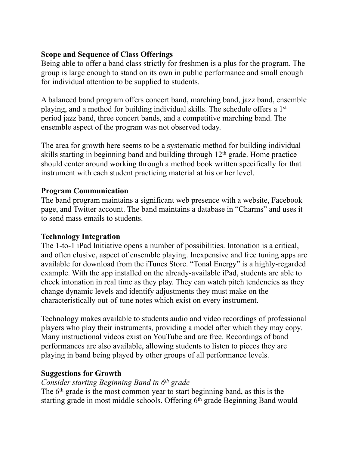# **Scope and Sequence of Class Offerings**

Being able to offer a band class strictly for freshmen is a plus for the program. The group is large enough to stand on its own in public performance and small enough for individual attention to be supplied to students.

A balanced band program offers concert band, marching band, jazz band, ensemble playing, and a method for building individual skills. The schedule offers a 1st period jazz band, three concert bands, and a competitive marching band. The ensemble aspect of the program was not observed today.

The area for growth here seems to be a systematic method for building individual skills starting in beginning band and building through 12th grade. Home practice should center around working through a method book written specifically for that instrument with each student practicing material at his or her level.

# **Program Communication**

The band program maintains a significant web presence with a website, Facebook page, and Twitter account. The band maintains a database in "Charms" and uses it to send mass emails to students.

### **Technology Integration**

The 1-to-1 iPad Initiative opens a number of possibilities. Intonation is a critical, and often elusive, aspect of ensemble playing. Inexpensive and free tuning apps are available for download from the iTunes Store. "Tonal Energy" is a highly-regarded example. With the app installed on the already-available iPad, students are able to check intonation in real time as they play. They can watch pitch tendencies as they change dynamic levels and identify adjustments they must make on the characteristically out-of-tune notes which exist on every instrument.

Technology makes available to students audio and video recordings of professional players who play their instruments, providing a model after which they may copy. Many instructional videos exist on YouTube and are free. Recordings of band performances are also available, allowing students to listen to pieces they are playing in band being played by other groups of all performance levels.

# **Suggestions for Growth**

# *Consider starting Beginning Band in 6th grade*

The 6<sup>th</sup> grade is the most common year to start beginning band, as this is the starting grade in most middle schools. Offering 6<sup>th</sup> grade Beginning Band would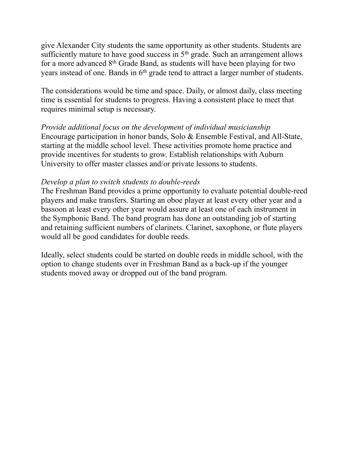give Alexander City students the same opportunity as other students. Students are sufficiently mature to have good success in 5<sup>th</sup> grade. Such an arrangement allows for a more advanced 8th Grade Band, as students will have been playing for two years instead of one. Bands in 6th grade tend to attract a larger number of students.

The considerations would be time and space. Daily, or almost daily, class meeting time is essential for students to progress. Having a consistent place to meet that requires minimal setup is necessary.

*Provide additional focus on the development of individual musicianship*  Encourage participation in honor bands, Solo & Ensemble Festival, and All-State, starting at the middle school level. These activities promote home practice and provide incentives for students to grow. Establish relationships with Auburn University to offer master classes and/or private lessons to students.

#### *Develop a plan to switch students to double-reeds*

The Freshman Band provides a prime opportunity to evaluate potential double-reed players and make transfers. Starting an oboe player at least every other year and a bassoon at least every other year would assure at least one of each instrument in the Symphonic Band. The band program has done an outstanding job of starting and retaining sufficient numbers of clarinets. Clarinet, saxophone, or flute players would all be good candidates for double reeds.

Ideally, select students could be started on double reeds in middle school, with the option to change students over in Freshman Band as a back-up if the younger students moved away or dropped out of the band program.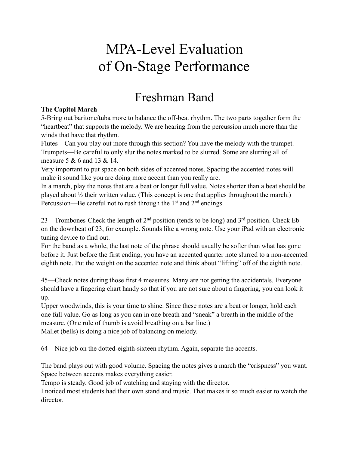# MPA-Level Evaluation of On-Stage Performance

# Freshman Band

#### **The Capitol March**

5-Bring out baritone/tuba more to balance the off-beat rhythm. The two parts together form the "heartbeat" that supports the melody. We are hearing from the percussion much more than the winds that have that rhythm.

Flutes—Can you play out more through this section? You have the melody with the trumpet. Trumpets—Be careful to only slur the notes marked to be slurred. Some are slurring all of measure 5 & 6 and 13 & 14.

Very important to put space on both sides of accented notes. Spacing the accented notes will make it sound like you are doing more accent than you really are.

In a march, play the notes that are a beat or longer full value. Notes shorter than a beat should be played about ½ their written value. (This concept is one that applies throughout the march.) Percussion—Be careful not to rush through the  $1<sup>st</sup>$  and  $2<sup>nd</sup>$  endings.

23—Trombones-Check the length of  $2<sup>nd</sup>$  position (tends to be long) and  $3<sup>rd</sup>$  position. Check Eb on the downbeat of 23, for example. Sounds like a wrong note. Use your iPad with an electronic tuning device to find out.

For the band as a whole, the last note of the phrase should usually be softer than what has gone before it. Just before the first ending, you have an accented quarter note slurred to a non-accented eighth note. Put the weight on the accented note and think about "lifting" off of the eighth note.

45—Check notes during those first 4 measures. Many are not getting the accidentals. Everyone should have a fingering chart handy so that if you are not sure about a fingering, you can look it up.

Upper woodwinds, this is your time to shine. Since these notes are a beat or longer, hold each one full value. Go as long as you can in one breath and "sneak" a breath in the middle of the measure. (One rule of thumb is avoid breathing on a bar line.) Mallet (bells) is doing a nice job of balancing on melody.

64—Nice job on the dotted-eighth-sixteen rhythm. Again, separate the accents.

The band plays out with good volume. Spacing the notes gives a march the "crispness" you want. Space between accents makes everything easier.

Tempo is steady. Good job of watching and staying with the director.

I noticed most students had their own stand and music. That makes it so much easier to watch the director.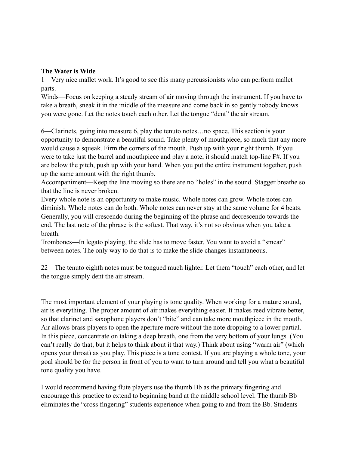#### **The Water is Wide**

1—Very nice mallet work. It's good to see this many percussionists who can perform mallet parts.

Winds—Focus on keeping a steady stream of air moving through the instrument. If you have to take a breath, sneak it in the middle of the measure and come back in so gently nobody knows you were gone. Let the notes touch each other. Let the tongue "dent" the air stream.

6—Clarinets, going into measure 6, play the tenuto notes…no space. This section is your opportunity to demonstrate a beautiful sound. Take plenty of mouthpiece, so much that any more would cause a squeak. Firm the corners of the mouth. Push up with your right thumb. If you were to take just the barrel and mouthpiece and play a note, it should match top-line F#. If you are below the pitch, push up with your hand. When you put the entire instrument together, push up the same amount with the right thumb.

Accompaniment—Keep the line moving so there are no "holes" in the sound. Stagger breathe so that the line is never broken.

Every whole note is an opportunity to make music. Whole notes can grow. Whole notes can diminish. Whole notes can do both. Whole notes can never stay at the same volume for 4 beats. Generally, you will crescendo during the beginning of the phrase and decrescendo towards the end. The last note of the phrase is the softest. That way, it's not so obvious when you take a breath.

Trombones—In legato playing, the slide has to move faster. You want to avoid a "smear" between notes. The only way to do that is to make the slide changes instantaneous.

22—The tenuto eighth notes must be tongued much lighter. Let them "touch" each other, and let the tongue simply dent the air stream.

The most important element of your playing is tone quality. When working for a mature sound, air is everything. The proper amount of air makes everything easier. It makes reed vibrate better, so that clarinet and saxophone players don't "bite" and can take more mouthpiece in the mouth. Air allows brass players to open the aperture more without the note dropping to a lower partial. In this piece, concentrate on taking a deep breath, one from the very bottom of your lungs. (You can't really do that, but it helps to think about it that way.) Think about using "warm air" (which opens your throat) as you play. This piece is a tone contest. If you are playing a whole tone, your goal should be for the person in front of you to want to turn around and tell you what a beautiful tone quality you have.

I would recommend having flute players use the thumb Bb as the primary fingering and encourage this practice to extend to beginning band at the middle school level. The thumb Bb eliminates the "cross fingering" students experience when going to and from the Bb. Students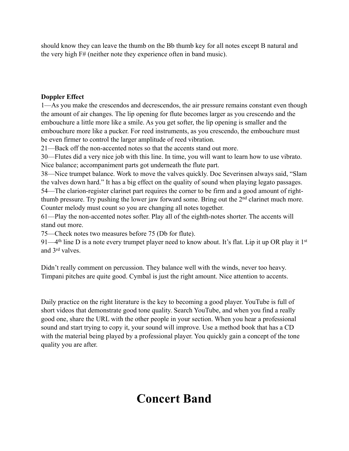should know they can leave the thumb on the Bb thumb key for all notes except B natural and the very high F# (neither note they experience often in band music).

#### **Doppler Effect**

1—As you make the crescendos and decrescendos, the air pressure remains constant even though the amount of air changes. The lip opening for flute becomes larger as you crescendo and the embouchure a little more like a smile. As you get softer, the lip opening is smaller and the embouchure more like a pucker. For reed instruments, as you crescendo, the embouchure must be even firmer to control the larger amplitude of reed vibration.

21—Back off the non-accented notes so that the accents stand out more.

30—Flutes did a very nice job with this line. In time, you will want to learn how to use vibrato. Nice balance; accompaniment parts got underneath the flute part.

38—Nice trumpet balance. Work to move the valves quickly. Doc Severinsen always said, "Slam the valves down hard." It has a big effect on the quality of sound when playing legato passages. 54—The clarion-register clarinet part requires the corner to be firm and a good amount of rightthumb pressure. Try pushing the lower jaw forward some. Bring out the  $2<sup>nd</sup>$  clarinet much more. Counter melody must count so you are changing all notes together.

61—Play the non-accented notes softer. Play all of the eighth-notes shorter. The accents will stand out more.

75—Check notes two measures before 75 (Db for flute).

91—4<sup>th</sup> line D is a note every trumpet player need to know about. It's flat. Lip it up OR play it 1<sup>st</sup> and 3rd valves.

Didn't really comment on percussion. They balance well with the winds, never too heavy. Timpani pitches are quite good. Cymbal is just the right amount. Nice attention to accents.

Daily practice on the right literature is the key to becoming a good player. YouTube is full of short videos that demonstrate good tone quality. Search YouTube, and when you find a really good one, share the URL with the other people in your section. When you hear a professional sound and start trying to copy it, your sound will improve. Use a method book that has a CD with the material being played by a professional player. You quickly gain a concept of the tone quality you are after.

# **Concert Band**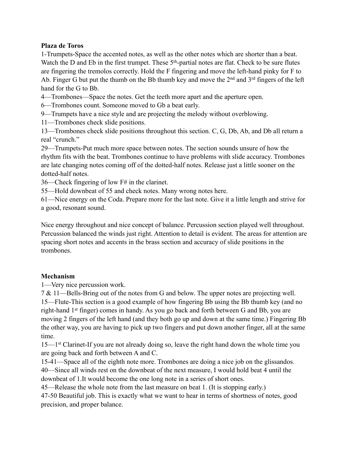#### **Plaza de Toros**

1-Trumpets-Space the accented notes, as well as the other notes which are shorter than a beat. Watch the D and Eb in the first trumpet. These  $5<sup>th</sup>$ -partial notes are flat. Check to be sure flutes are fingering the tremolos correctly. Hold the F fingering and move the left-hand pinky for F to Ab. Finger G but put the thumb on the Bb thumb key and move the  $2<sup>nd</sup>$  and  $3<sup>rd</sup>$  fingers of the left hand for the G to Bb.

4—Trombones—Space the notes. Get the teeth more apart and the aperture open.

6—Trombones count. Someone moved to Gb a beat early.

9—Trumpets have a nice style and are projecting the melody without overblowing.

11—Trombones check slide positions.

13—Trombones check slide positions throughout this section. C, G, Db, Ab, and Db all return a real "crunch."

29—Trumpets-Put much more space between notes. The section sounds unsure of how the rhythm fits with the beat. Trombones continue to have problems with slide accuracy. Trombones are late changing notes coming off of the dotted-half notes. Release just a little sooner on the dotted-half notes.

36—Check fingering of low F# in the clarinet.

55—Hold downbeat of 55 and check notes. Many wrong notes here.

61—Nice energy on the Coda. Prepare more for the last note. Give it a little length and strive for a good, resonant sound.

Nice energy throughout and nice concept of balance. Percussion section played well throughout. Percussion balanced the winds just right. Attention to detail is evident. The areas for attention are spacing short notes and accents in the brass section and accuracy of slide positions in the trombones.

#### **Mechanism**

1—Very nice percussion work.

7 & 11—Bells-Bring out of the notes from G and below. The upper notes are projecting well. 15—Flute-This section is a good example of how fingering Bb using the Bb thumb key (and no right-hand 1st finger) comes in handy. As you go back and forth between G and Bb, you are moving 2 fingers of the left hand (and they both go up and down at the same time.) Fingering Bb the other way, you are having to pick up two fingers and put down another finger, all at the same time.

15—1<sup>st</sup> Clarinet-If you are not already doing so, leave the right hand down the whole time you are going back and forth between A and C.

15-41—Space all of the eighth note more. Trombones are doing a nice job on the glissandos. 40—Since all winds rest on the downbeat of the next measure, I would hold beat 4 until the downbeat of 1.It would become the one long note in a series of short ones.

45—Release the whole note from the last measure on beat 1. (It is stopping early.) 47-50 Beautiful job. This is exactly what we want to hear in terms of shortness of notes, good precision, and proper balance.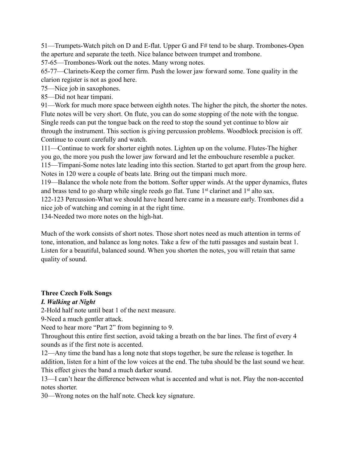51—Trumpets-Watch pitch on D and E-flat. Upper G and F# tend to be sharp. Trombones-Open the aperture and separate the teeth. Nice balance between trumpet and trombone.

57-65—Trombones-Work out the notes. Many wrong notes.

65-77—Clarinets-Keep the corner firm. Push the lower jaw forward some. Tone quality in the clarion register is not as good here.

75—Nice job in saxophones.

85—Did not hear timpani.

91—Work for much more space between eighth notes. The higher the pitch, the shorter the notes. Flute notes will be very short. On flute, you can do some stopping of the note with the tongue. Single reeds can put the tongue back on the reed to stop the sound yet continue to blow air through the instrument. This section is giving percussion problems. Woodblock precision is off. Continue to count carefully and watch.

111—Continue to work for shorter eighth notes. Lighten up on the volume. Flutes-The higher you go, the more you push the lower jaw forward and let the embouchure resemble a pucker. 115—Timpani-Some notes late leading into this section. Started to get apart from the group here. Notes in 120 were a couple of beats late. Bring out the timpani much more.

119—Balance the whole note from the bottom. Softer upper winds. At the upper dynamics, flutes and brass tend to go sharp while single reeds go flat. Tune 1<sup>st</sup> clarinet and 1<sup>st</sup> alto sax.

122-123 Percussion-What we should have heard here came in a measure early. Trombones did a nice job of watching and coming in at the right time.

134-Needed two more notes on the high-hat.

Much of the work consists of short notes. Those short notes need as much attention in terms of tone, intonation, and balance as long notes. Take a few of the tutti passages and sustain beat 1. Listen for a beautiful, balanced sound. When you shorten the notes, you will retain that same quality of sound.

#### **Three Czech Folk Songs**

#### *I. Walking at Night*

2-Hold half note until beat 1 of the next measure.

9-Need a much gentler attack.

Need to hear more "Part 2" from beginning to 9.

Throughout this entire first section, avoid taking a breath on the bar lines. The first of every 4 sounds as if the first note is accented.

12—Any time the band has a long note that stops together, be sure the release is together. In addition, listen for a hint of the low voices at the end. The tuba should be the last sound we hear. This effect gives the band a much darker sound.

13—I can't hear the difference between what is accented and what is not. Play the non-accented notes shorter.

30—Wrong notes on the half note. Check key signature.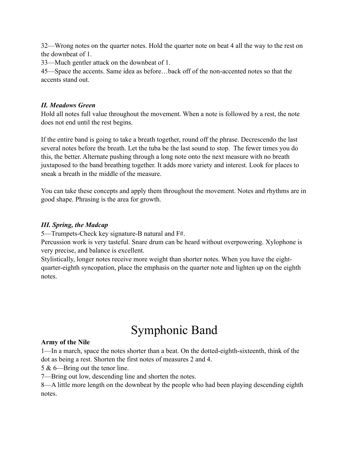32—Wrong notes on the quarter notes. Hold the quarter note on beat 4 all the way to the rest on the downbeat of 1.

33—Much gentler attack on the downbeat of 1.

45—Space the accents. Same idea as before…back off of the non-accented notes so that the accents stand out.

#### *II. Meadows Green*

Hold all notes full value throughout the movement. When a note is followed by a rest, the note does not end until the rest begins.

If the entire band is going to take a breath together, round off the phrase. Decrescendo the last several notes before the breath. Let the tuba be the last sound to stop. The fewer times you do this, the better. Alternate pushing through a long note onto the next measure with no breath juxtaposed to the band breathing together. It adds more variety and interest. Look for places to sneak a breath in the middle of the measure.

You can take these concepts and apply them throughout the movement. Notes and rhythms are in good shape. Phrasing is the area for growth.

#### *III. Spring, the Madcap*

5—Trumpets-Check key signature-B natural and F#.

Percussion work is very tasteful. Snare drum can be heard without overpowering. Xylophone is very precise, and balance is excellent.

Stylistically, longer notes receive more weight than shorter notes. When you have the eightquarter-eighth syncopation, place the emphasis on the quarter note and lighten up on the eighth notes.

# Symphonic Band

#### **Army of the Nile**

1—In a march, space the notes shorter than a beat. On the dotted-eighth-sixteenth, think of the dot as being a rest. Shorten the first notes of measures 2 and 4.

5 & 6—Bring out the tenor line.

7—Bring out low, descending line and shorten the notes.

8—A little more length on the downbeat by the people who had been playing descending eighth notes.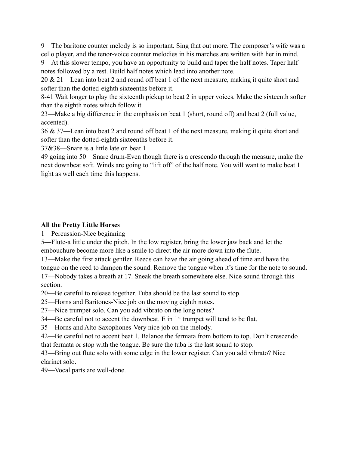9—The baritone counter melody is so important. Sing that out more. The composer's wife was a cello player, and the tenor-voice counter melodies in his marches are written with her in mind. 9—At this slower tempo, you have an opportunity to build and taper the half notes. Taper half notes followed by a rest. Build half notes which lead into another note.

20 & 21—Lean into beat 2 and round off beat 1 of the next measure, making it quite short and softer than the dotted-eighth sixteenths before it.

8-41 Wait longer to play the sixteenth pickup to beat 2 in upper voices. Make the sixteenth softer than the eighth notes which follow it.

23—Make a big difference in the emphasis on beat 1 (short, round off) and beat 2 (full value, accented).

36 & 37—Lean into beat 2 and round off beat 1 of the next measure, making it quite short and softer than the dotted-eighth sixteenths before it.

37&38—Snare is a little late on beat 1

49 going into 50—Snare drum-Even though there is a crescendo through the measure, make the next downbeat soft. Winds are going to "lift off" of the half note. You will want to make beat 1 light as well each time this happens.

#### **All the Pretty Little Horses**

1—Percussion-Nice beginning

5—Flute-a little under the pitch. In the low register, bring the lower jaw back and let the embouchure become more like a smile to direct the air more down into the flute.

13—Make the first attack gentler. Reeds can have the air going ahead of time and have the tongue on the reed to dampen the sound. Remove the tongue when it's time for the note to sound. 17—Nobody takes a breath at 17. Sneak the breath somewhere else. Nice sound through this

section.

20—Be careful to release together. Tuba should be the last sound to stop.

25—Horns and Baritones-Nice job on the moving eighth notes.

27—Nice trumpet solo. Can you add vibrato on the long notes?

34—Be careful not to accent the downbeat. E in 1st trumpet will tend to be flat.

35—Horns and Alto Saxophones-Very nice job on the melody.

42—Be careful not to accent beat 1. Balance the fermata from bottom to top. Don't crescendo that fermata or stop with the tongue. Be sure the tuba is the last sound to stop.

43—Bring out flute solo with some edge in the lower register. Can you add vibrato? Nice clarinet solo.

49—Vocal parts are well-done.